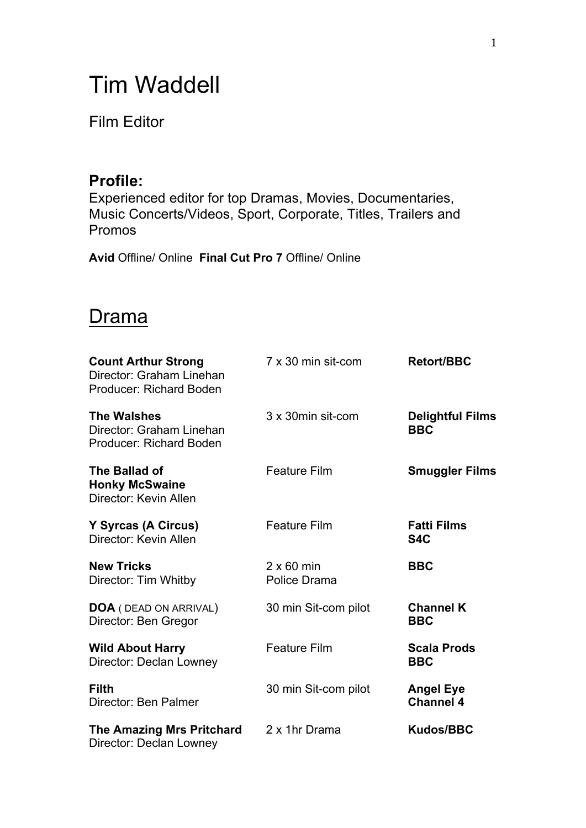# Tim Waddell

### Film Editor

### **Profile:**

Experienced editor for top Dramas, Movies, Documentaries, Music Concerts/Videos, Sport, Corporate, Titles, Trailers and Promos

**Avid** Offline/ Online **Final Cut Pro 7** Offline/ Online

### **Drama**

| <b>Count Arthur Strong</b><br>Director: Graham Linehan<br><b>Producer: Richard Boden</b> | 7 x 30 min sit-com                | <b>Retort/BBC</b>                      |
|------------------------------------------------------------------------------------------|-----------------------------------|----------------------------------------|
| <b>The Walshes</b><br>Director: Graham Linehan<br><b>Producer: Richard Boden</b>         | 3 x 30 min sit-com                | <b>Delightful Films</b><br><b>BBC</b>  |
| The Ballad of<br><b>Honky McSwaine</b><br>Director: Kevin Allen                          | <b>Feature Film</b>               | <b>Smuggler Films</b>                  |
| Y Syrcas (A Circus)<br>Director: Kevin Allen                                             | <b>Feature Film</b>               | <b>Fatti Films</b><br>S <sub>4</sub> C |
| <b>New Tricks</b><br>Director: Tim Whitby                                                | $2 \times 60$ min<br>Police Drama | <b>BBC</b>                             |
| <b>DOA</b> ( DEAD ON ARRIVAL)<br>Director: Ben Gregor                                    | 30 min Sit-com pilot              | <b>Channel K</b><br><b>BBC</b>         |
| <b>Wild About Harry</b><br>Director: Declan Lowney                                       | <b>Feature Film</b>               | <b>Scala Prods</b><br><b>BBC</b>       |
| <b>Filth</b><br>Director: Ben Palmer                                                     | 30 min Sit-com pilot              | <b>Angel Eye</b><br><b>Channel 4</b>   |
| <b>The Amazing Mrs Pritchard</b><br>Director: Declan Lowney                              | 2 x 1hr Drama                     | <b>Kudos/BBC</b>                       |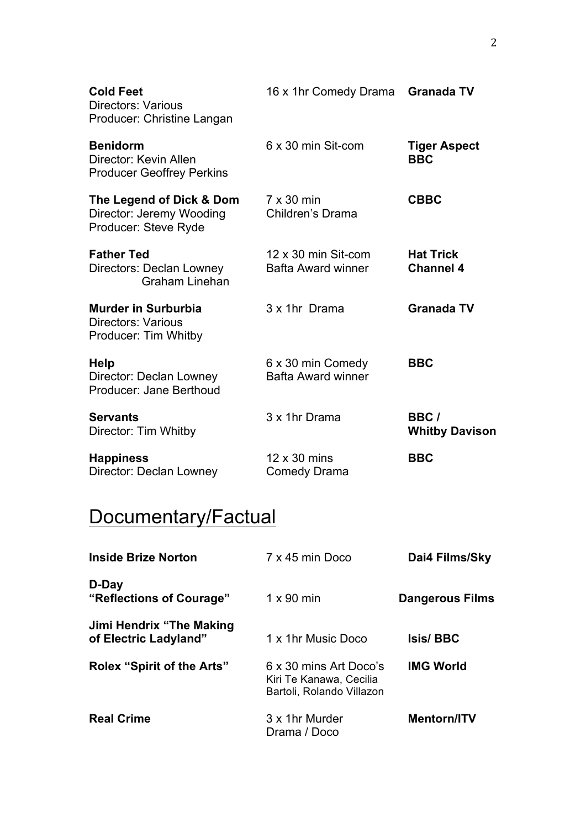| <b>Cold Feet</b><br><b>Directors: Various</b><br>Producer: Christine Langan     | 16 x 1hr Comedy Drama Granada TV                 |                                      |
|---------------------------------------------------------------------------------|--------------------------------------------------|--------------------------------------|
| <b>Benidorm</b><br>Director: Kevin Allen<br><b>Producer Geoffrey Perkins</b>    | 6 x 30 min Sit-com                               | <b>Tiger Aspect</b><br><b>BBC</b>    |
| The Legend of Dick & Dom<br>Director: Jeremy Wooding<br>Producer: Steve Ryde    | $7 \times 30$ min<br>Children's Drama            | <b>CBBC</b>                          |
| <b>Father Ted</b><br>Directors: Declan Lowney<br><b>Graham Linehan</b>          | 12 x 30 min Sit-com<br><b>Bafta Award winner</b> | <b>Hat Trick</b><br><b>Channel 4</b> |
| <b>Murder in Surburbia</b><br><b>Directors: Various</b><br>Producer: Tim Whitby | 3 x 1hr Drama                                    | <b>Granada TV</b>                    |
| <b>Help</b><br>Director: Declan Lowney<br>Producer: Jane Berthoud               | 6 x 30 min Comedy<br><b>Bafta Award winner</b>   | <b>BBC</b>                           |
| <b>Servants</b><br>Director: Tim Whitby                                         | 3 x 1hr Drama                                    | BBC/<br><b>Whitby Davison</b>        |
| <b>Happiness</b><br>Director: Declan Lowney                                     | $12 \times 30$ mins<br><b>Comedy Drama</b>       | <b>BBC</b>                           |

# Documentary/Factual

| <b>Inside Brize Norton</b>                         | 7 x 45 min Doco                                                                | Dai4 Films/Sky         |
|----------------------------------------------------|--------------------------------------------------------------------------------|------------------------|
| D-Day<br>"Reflections of Courage"                  | $1 \times 90$ min                                                              | <b>Dangerous Films</b> |
| Jimi Hendrix "The Making"<br>of Electric Ladyland" | 1 x 1hr Music Doco                                                             | <b>Isis/BBC</b>        |
| <b>Rolex "Spirit of the Arts"</b>                  | 6 x 30 mins Art Doco's<br>Kiri Te Kanawa, Cecilia<br>Bartoli, Rolando Villazon | <b>IMG World</b>       |
| <b>Real Crime</b>                                  | 3 x 1hr Murder<br>Drama / Doco                                                 | <b>Mentorn/ITV</b>     |